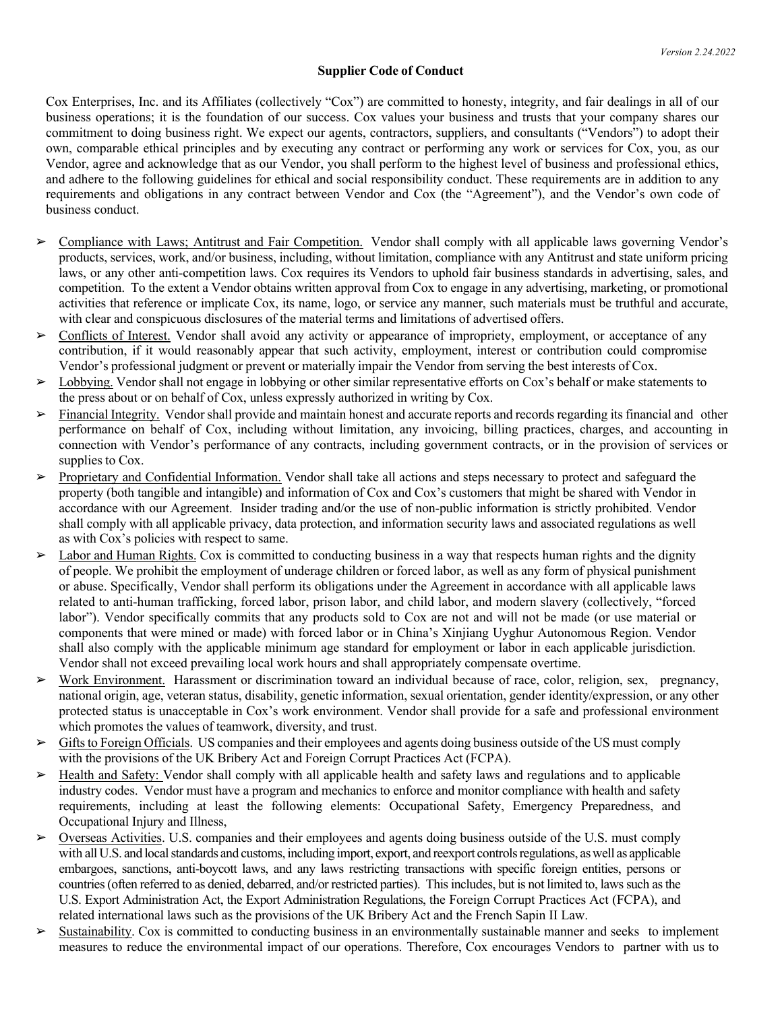## **Supplier Code of Conduct**

Cox Enterprises, Inc. and its Affiliates (collectively "Cox") are committed to honesty, integrity, and fair dealings in all of our business operations; it is the foundation of our success. Cox values your business and trusts that your company shares our commitment to doing business right. We expect our agents, contractors, suppliers, and consultants ("Vendors") to adopt their own, comparable ethical principles and by executing any contract or performing any work or services for Cox, you, as our Vendor, agree and acknowledge that as our Vendor, you shall perform to the highest level of business and professional ethics, and adhere to the following guidelines for ethical and social responsibility conduct. These requirements are in addition to any requirements and obligations in any contract between Vendor and Cox (the "Agreement"), and the Vendor's own code of business conduct.

- ➢ Compliance with Laws; Antitrust and Fair Competition. Vendor shall comply with all applicable laws governing Vendor's products, services, work, and/or business, including, without limitation, compliance with any Antitrust and state uniform pricing laws, or any other anti-competition laws. Cox requires its Vendors to uphold fair business standards in advertising, sales, and competition. To the extent a Vendor obtains written approval from Cox to engage in any advertising, marketing, or promotional activities that reference or implicate Cox, its name, logo, or service any manner, such materials must be truthful and accurate, with clear and conspicuous disclosures of the material terms and limitations of advertised offers.
- ➢ Conflicts of Interest. Vendor shall avoid any activity or appearance of impropriety, employment, or acceptance of any contribution, if it would reasonably appear that such activity, employment, interest or contribution could compromise Vendor's professional judgment or prevent or materially impair the Vendor from serving the best interests of Cox.
- ➢ Lobbying. Vendor shall not engage in lobbying or other similar representative efforts on Cox's behalf or make statements to the press about or on behalf of Cox, unless expressly authorized in writing by Cox.
- ➢ Financial Integrity. Vendor shall provide and maintain honest and accurate reports and records regarding its financial and other performance on behalf of Cox, including without limitation, any invoicing, billing practices, charges, and accounting in connection with Vendor's performance of any contracts, including government contracts, or in the provision of services or supplies to Cox.
- Proprietary and Confidential Information. Vendor shall take all actions and steps necessary to protect and safeguard the property (both tangible and intangible) and information of Cox and Cox's customers that might be shared with Vendor in accordance with our Agreement. Insider trading and/or the use of non-public information is strictly prohibited. Vendor shall comply with all applicable privacy, data protection, and information security laws and associated regulations as well as with Cox's policies with respect to same.
- $\geq$  Labor and Human Rights. Cox is committed to conducting business in a way that respects human rights and the dignity of people. We prohibit the employment of underage children or forced labor, as well as any form of physical punishment or abuse. Specifically, Vendor shall perform its obligations under the Agreement in accordance with all applicable laws related to anti-human trafficking, forced labor, prison labor, and child labor, and modern slavery (collectively, "forced labor"). Vendor specifically commits that any products sold to Cox are not and will not be made (or use material or components that were mined or made) with forced labor or in China's Xinjiang Uyghur Autonomous Region. Vendor shall also comply with the applicable minimum age standard for employment or labor in each applicable jurisdiction. Vendor shall not exceed prevailing local work hours and shall appropriately compensate overtime.
- ➢ Work Environment. Harassment or discrimination toward an individual because of race, color, religion, sex, pregnancy, national origin, age, veteran status, disability, genetic information, sexual orientation, gender identity/expression, or any other protected status is unacceptable in Cox's work environment. Vendor shall provide for a safe and professional environment which promotes the values of teamwork, diversity, and trust.
- $\triangleright$  Gifts to Foreign Officials. US companies and their employees and agents doing business outside of the US must comply with the provisions of the UK Bribery Act and Foreign Corrupt Practices Act (FCPA).
- $\triangleright$  Health and Safety: Vendor shall comply with all applicable health and safety laws and regulations and to applicable industry codes. Vendor must have a program and mechanics to enforce and monitor compliance with health and safety requirements, including at least the following elements: Occupational Safety, Emergency Preparedness, and Occupational Injury and Illness,
- ➢ Overseas Activities. U.S. companies and their employees and agents doing business outside of the U.S. must comply with all U.S. and local standards and customs, including import, export, and reexport controls regulations, as well as applicable embargoes, sanctions, anti-boycott laws, and any laws restricting transactions with specific foreign entities, persons or countries (often referred to as denied, debarred, and/or restricted parties). This includes, but is not limited to, laws such as the U.S. Export Administration Act, the Export Administration Regulations, the Foreign Corrupt Practices Act (FCPA), and related international laws such as the provisions of the UK Bribery Act and the French Sapin II Law.
- $\triangleright$  Sustainability. Cox is committed to conducting business in an environmentally sustainable manner and seeks to implement measures to reduce the environmental impact of our operations. Therefore, Cox encourages Vendors to partner with us to